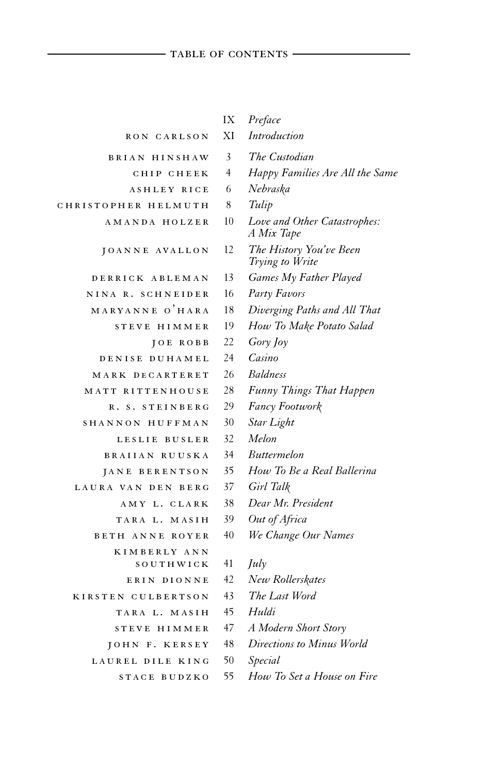## TABLE OF CONTENTS

|                        | IX             | Preface                                    |
|------------------------|----------------|--------------------------------------------|
| RON CARLSON            | ХI             | Introduction                               |
| BRIAN HINSHAW          | 3              | The Custodian                              |
| CHIP CHEEK             | $\overline{4}$ | Happy Families Are All the Same            |
| <b>ASHLEY RICE</b>     | 6              | Nebraska                                   |
| CHRISTOPHER HELMUTH    | 8              | Tulip                                      |
| AMANDA HOLZER          | 10             | Love and Other Catastrophes:<br>A Mix Tape |
| JOANNE AVALLON         | 12             | The History You've Been<br>Trying to Write |
| DERRICK ABLEMAN        | 13             | Games My Father Played                     |
| NINA R. SCHNEIDER      | 16             | Party Favors                               |
| MARYANNE O'HARA        | 18             | Diverging Paths and All That               |
| STEVE HIMMER           | 19             | How To Make Potato Salad                   |
| JOE ROBB               | 22             | Gory Joy                                   |
| DENISE DUHAMEL         | 24             | Casino                                     |
| MARK DECARTERET        | 26             | <b>Baldness</b>                            |
| MATT RITTENHOUSE       | 28             | <b>Funny Things That Happen</b>            |
| R. S. STEINBERG        | 29             | <b>Fancy Footwork</b>                      |
| SHANNON HUFFMAN        | 30             | Star Light                                 |
| LESLIE BUSLER          | 32             | Melon                                      |
| BRAIIAN RUUSKA         | 34             | <i>Buttermelon</i>                         |
| JANE BERENTSON         | 35             | How To Be a Real Ballerina                 |
| LAURA VAN DEN BERG     | 37             | Girl Talk                                  |
| AMY L. CLARK           | 38             | Dear Mr. President                         |
| TARA L. MASIH          | 39             | Out of Africa                              |
| <b>BETH ANNE ROYER</b> | 40             | We Change Our Names                        |
| KIMBERLY ANN           |                |                                            |
| SOUTHWICK              | 41             | July                                       |
| ERIN DIONNE            | 42             | New Rollerskates                           |
| KIRSTEN CULBERTSON     | 43             | The Last Word                              |
| TARA L. MASIH          | 45             | Huldi                                      |
| STEVE HIMMER           | 47             | A Modern Short Story                       |
| JOHN F. KERSEY         | 48             | Directions to Minus World                  |
| LAUREL DILE KING       | 50             | Special                                    |
| STACE BUDZKO           | 55             | How To Set a House on Fire                 |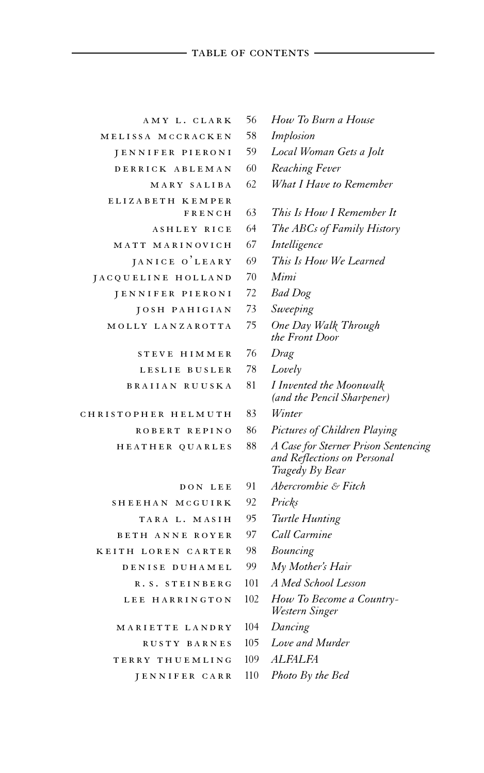## table of contents

| AMY L. CLARK                      | 56  | How To 1                              |
|-----------------------------------|-----|---------------------------------------|
| MELISSA MCCRACKEN                 | 58  | Implosion                             |
| JENNIFER PIERONI                  | 59  | Local Wo                              |
| DERRICK ABLEMAN                   | 60  | Reaching                              |
| MARY SALIBA                       | 62  | What I H                              |
| <b>ELIZABETH</b><br><b>KEMPER</b> |     |                                       |
| FRENCH                            | 63  | This Is H                             |
| ASHLEY RICE                       | 64  | The ABC.                              |
| MATT MARINOVICH                   | 67  | Intelligen                            |
| JANICE O'LEARY                    | 69  | This Is He                            |
| JACQUELINE HOLLAND                | 70  | Mimi                                  |
| JENNIFER PIERONI                  | 72  | <b>Bad</b> Dog                        |
| JOSH PAHIGIAN                     | 73  | Sweeping                              |
| MOLLY LANZAROTTA                  | 75  | One Day<br>the Front                  |
| STEVE<br>HIMMER                   | 76  | Drag                                  |
| <b>BUSLER</b><br>LESLIE           | 78  | Lovely                                |
| BRAIIAN RUUSKA                    | 81  | I Invented<br>(and the I              |
| CHRISTOPHER<br>HELMUTH            | 83  | Winter                                |
| ROBERT REPINO                     | 86  | Pictures o                            |
| HEATHER QUARLES                   | 88  | A Case for<br>and Reflee<br>Tragedy E |
| DON LEE                           | 91  | Abercrom                              |
| SHEEHAN<br>MCGUIRK                | 92  | Pricks                                |
| TARA L. MASIH                     | 95  | Turtle Hı                             |
| <b>BETH ANNE ROYER</b>            | 97  | Call Carn                             |
| KEITH LOREN CARTER                | 98  | Bouncing                              |
| DENISE DUHAMEL                    | 99  | $MV$ Mothe                            |
| R.S. STEINBERG                    | 101 | A Med Sc.                             |
| <b>HARRINGTON</b><br>LEE.         | 102 | How To 1<br>Western S                 |

- ma r i e t t e l and ry 104 *Dancing*
	-
- t e r ry th u eml ing 109 *ALFALFA*
	- j en n i f e r c a r r 110 *Photo By the Bed*
- amy l . c l ar k 56 *How To Burn a House*
- 
- Local Woman Gets a Jolt
- Reaching Fever
- What I Have to Remember
- <sup>e</sup> <sup>l</sup> <sup>i</sup> <sup>z</sup> <sup>a</sup> <sup>b</sup> <sup>e</sup> th <sup>k</sup> emp <sup>e</sup> <sup>r</sup> f r e n c h <sup>63</sup> *This Is How I Remember It*
- **The ABCs of Family History**
- Intelligence
- This Is How We Learned
- 
- j en n i f e r p i e ro n i 72 *Bad Dog*
- Sweeping
- **Dne Day Walk Through** *the Front Door*
- s t e v e h imme r 76 *Drag*
- Lovely
	- Invented the Moonwalk *(and the Pencil Sharpener)*
	-
- Pictures of Children Playing
- **A Case for Sterner Prison Sentencing** *and Reflections on Personal Tragedy By Bear*
- d on l e e 91 *Abercrombie & Fitch*
- sh e ehan mc g u i r k 92 *Pricks*
- Turtle Hunting
- *Call Carmine*
- 
- $M<sub>y</sub> Mother's *Hair*$
- $4$  Med School Lesson
- How To Become a Country-*Western Singer*
- 
- rus t y b a rn e s 105 *Love and Murder* 
	-
	-